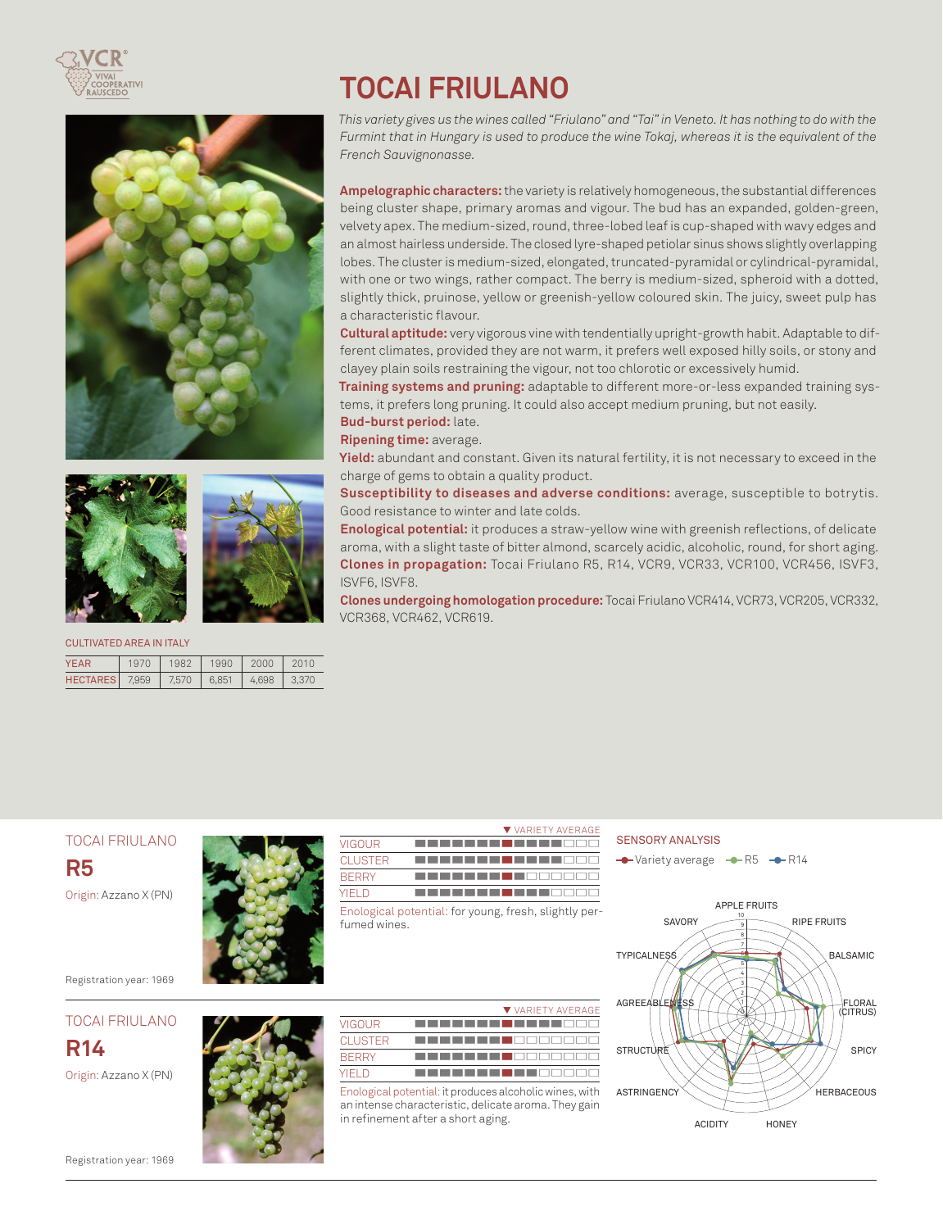







#### CULTIVATED AREA IN ITALY

| YFAR            | 1970  | 1982  | 1990  | 2000  | 2010  |
|-----------------|-------|-------|-------|-------|-------|
| <b>HECTARES</b> | 7.959 | 7,570 | 6.851 | 4.698 | 3.370 |

# **TOCAI FRIULANO**

*This variety gives us the wines called "Friulano" and "Tai" in Veneto. It has nothing to do with the Furmint that in Hungary is used to produce the wine Tokaj, whereas it is the equivalent of the French Sauvignonasse.*

**Ampelographic characters:** the variety is relatively homogeneous, the substantial differences being cluster shape, primary aromas and vigour. The bud has an expanded, golden-green, velvety apex. The medium-sized, round, three-lobed leaf is cup-shaped with wavy edges and an almost hairless underside. The closed lyre-shaped petiolar sinus shows slightly overlapping lobes. The cluster is medium-sized, elongated, truncated-pyramidal or cylindrical-pyramidal, with one or two wings, rather compact. The berry is medium-sized, spheroid with a dotted, slightly thick, pruinose, yellow or greenish-yellow coloured skin. The juicy, sweet pulp has a characteristic flavour.

**Cultural aptitude:** very vigorous vine with tendentially upright-growth habit. Adaptable to different climates, provided they are not warm, it prefers well exposed hilly soils, or stony and clayey plain soils restraining the vigour, not too chlorotic or excessively humid.

**Training systems and pruning:** adaptable to different more-or-less expanded training systems, it prefers long pruning. It could also accept medium pruning, but not easily. **Bud-burst period:** late.

**Ripening time:** average.

**Yield:** abundant and constant. Given its natural fertility, it is not necessary to exceed in the charge of gems to obtain a quality product.

**Susceptibility to diseases and adverse conditions:** average, susceptible to botrytis. Good resistance to winter and late colds.

**Enological potential:** it produces a straw-yellow wine with greenish reflections, of delicate aroma, with a slight taste of bitter almond, scarcely acidic, alcoholic, round, for short aging. **Clones in propagation:** Tocai Friulano R5, R14, VCR9, VCR33, VCR100, VCR456, ISVF3, ISVF6, ISVF8.

**Clones undergoing homologation procedure:** Tocai Friulano VCR414, VCR73, VCR205, VCR332, VCR368, VCR462, VCR619.

| <b>TOCAI FRIULANO</b>                            | ▼ VARIETY AVERAGE<br><b>VIGOUR</b>                                                                                                                                    | <b>SENSORY ANALYSIS</b>                                               |
|--------------------------------------------------|-----------------------------------------------------------------------------------------------------------------------------------------------------------------------|-----------------------------------------------------------------------|
| R <sub>5</sub>                                   | <b>CLUSTER</b><br><b>BERRY</b>                                                                                                                                        | $\rightarrow$ Variety average $\rightarrow$ R5 $\rightarrow$          |
| Origin: Azzano X (PN)<br>Registration year: 1969 | <b>YIELD</b><br>Enological potential: for young, fresh, slightly per-<br>fumed wines.                                                                                 | <b>APPLE FRUITS</b><br>10<br><b>SAVORY</b><br><b>TYPICALNESS</b><br>3 |
| <b>TOCAI FRIULANO</b>                            | ▼ VARIETY AVERAGE<br><b>VIGOUR</b>                                                                                                                                    | AGREEABLENESS                                                         |
| <b>R14</b>                                       | <b>CLUSTER</b><br><b>BERRY</b>                                                                                                                                        | <b>STRUCTURE</b>                                                      |
| Origin: Azzano X (PN)                            | <b>YIELD</b><br>Enological potential: it produces alcoholic wines, with<br>an intense characteristic, delicate aroma. They gain<br>in refinement after a short aging. | <b>ASTRINGENCY</b><br><b>ACIDITY</b><br>HO                            |
| Registration year: 1969                          |                                                                                                                                                                       |                                                                       |



RIPE FRUITS BALSAMIC FLORAL (CITRUS) **SPICY HERBACEOUS** HONFY

Registration year: 1969